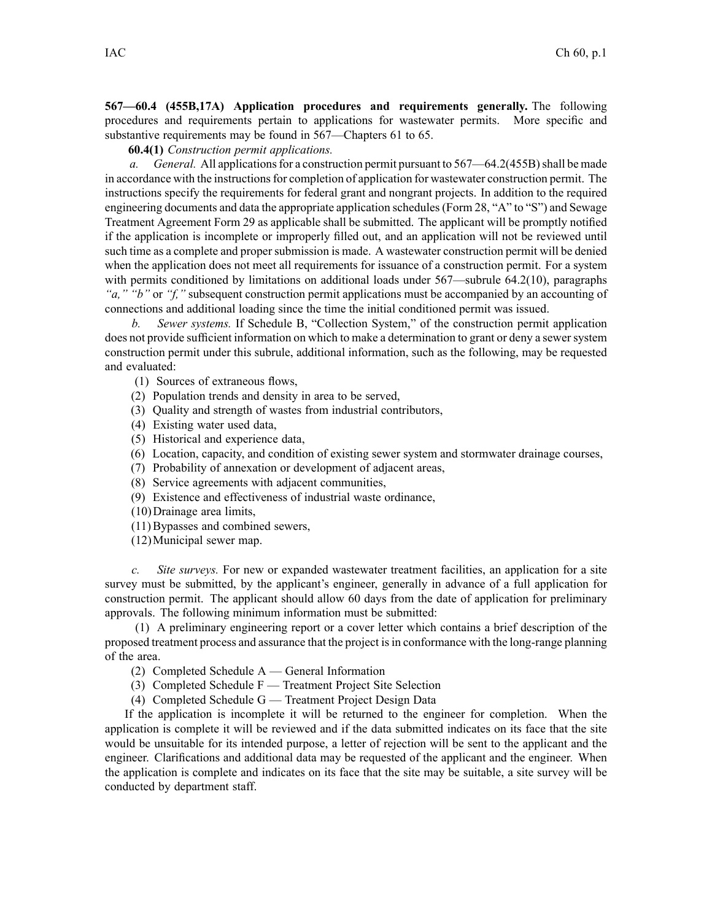**567—60.4 (455B,17A) Application procedures and requirements generally.** The following procedures and requirements pertain to applications for wastewater permits. More specific and substantive requirements may be found in 567—Chapters 61 to 65.

**60.4(1)** *Construction permit applications.*

*a. General.* All applications for a construction permit pursuant to 567—64.2(455B) shall be made in accordance with the instructions for completion of application for wastewater construction permit. The instructions specify the requirements for federal gran<sup>t</sup> and nongran<sup>t</sup> projects. In addition to the required engineering documents and data the appropriate application schedules(Form 28, "A" to "S") and Sewage Treatment Agreement Form 29 as applicable shall be submitted. The applicant will be promptly notified if the application is incomplete or improperly filled out, and an application will not be reviewed until such time as <sup>a</sup> complete and propersubmission is made. A wastewater construction permit will be denied when the application does not meet all requirements for issuance of <sup>a</sup> construction permit. For <sup>a</sup> system with permits conditioned by limitations on additional loads under 567—subrule 64.2(10), paragraphs *"a," "b"* or *"f,"* subsequent construction permit applications must be accompanied by an accounting of connections and additional loading since the time the initial conditioned permit was issued.

*b. Sewer systems.* If Schedule B, "Collection System," of the construction permit application does not provide sufficient information on which to make <sup>a</sup> determination to gran<sup>t</sup> or deny <sup>a</sup> sewersystem construction permit under this subrule, additional information, such as the following, may be requested and evaluated:

- (1) Sources of extraneous flows,
- (2) Population trends and density in area to be served,
- (3) Quality and strength of wastes from industrial contributors,
- (4) Existing water used data,
- (5) Historical and experience data,
- (6) Location, capacity, and condition of existing sewer system and stormwater drainage courses,
- (7) Probability of annexation or development of adjacent areas,
- (8) Service agreements with adjacent communities,
- (9) Existence and effectiveness of industrial waste ordinance,
- (10)Drainage area limits,
- (11)Bypasses and combined sewers,
- (12)Municipal sewer map.

*c. Site surveys.* For new or expanded wastewater treatment facilities, an application for <sup>a</sup> site survey must be submitted, by the applicant's engineer, generally in advance of <sup>a</sup> full application for construction permit. The applicant should allow 60 days from the date of application for preliminary approvals. The following minimum information must be submitted:

(1) A preliminary engineering repor<sup>t</sup> or <sup>a</sup> cover letter which contains <sup>a</sup> brief description of the proposed treatment process and assurance that the project isin conformance with the long-range planning of the area.

- (2) Completed Schedule A General Information
- (3) Completed Schedule F Treatment Project Site Selection
- (4) Completed Schedule G Treatment Project Design Data

If the application is incomplete it will be returned to the engineer for completion. When the application is complete it will be reviewed and if the data submitted indicates on its face that the site would be unsuitable for its intended purpose, <sup>a</sup> letter of rejection will be sent to the applicant and the engineer. Clarifications and additional data may be requested of the applicant and the engineer. When the application is complete and indicates on its face that the site may be suitable, <sup>a</sup> site survey will be conducted by department staff.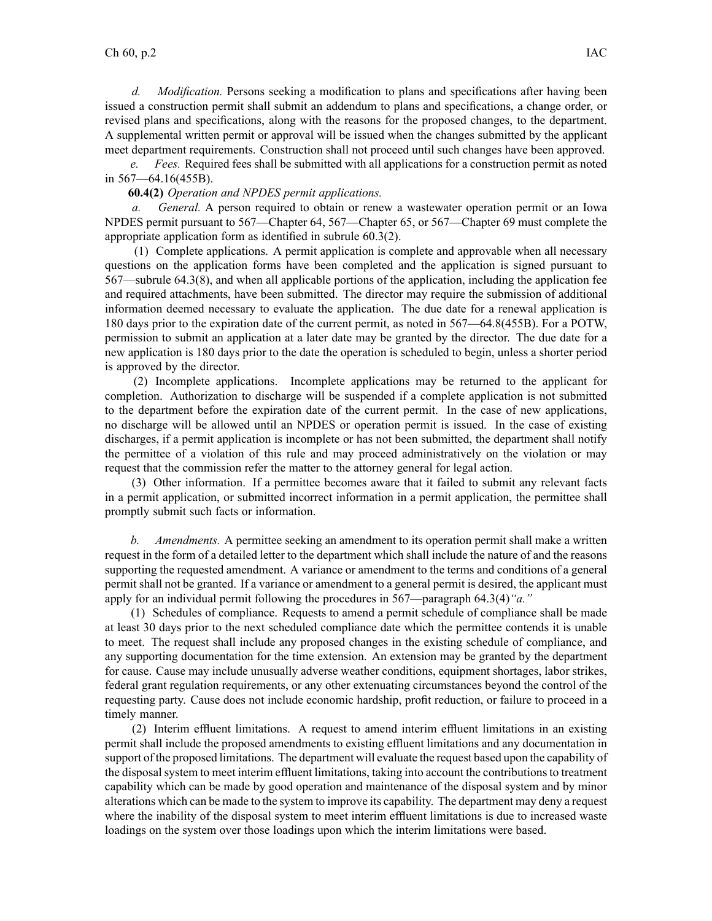*d. Modification.* Persons seeking <sup>a</sup> modification to plans and specifications after having been issued <sup>a</sup> construction permit shall submit an addendum to plans and specifications, <sup>a</sup> change order, or revised plans and specifications, along with the reasons for the proposed changes, to the department. A supplemental written permit or approval will be issued when the changes submitted by the applicant meet department requirements. Construction shall not proceed until such changes have been approved.

*e. Fees.* Required fees shall be submitted with all applications for <sup>a</sup> construction permit as noted in 567—64.16(455B).

## **60.4(2)** *Operation and NPDES permit applications.*

*General.* A person required to obtain or renew a wastewater operation permit or an Iowa NPDES permit pursuan<sup>t</sup> to 567—Chapter 64, 567—Chapter 65, or 567—Chapter 69 must complete the appropriate application form as identified in subrule 60.3(2).

(1) Complete applications. A permit application is complete and approvable when all necessary questions on the application forms have been completed and the application is signed pursuan<sup>t</sup> to 567—subrule 64.3(8), and when all applicable portions of the application, including the application fee and required attachments, have been submitted. The director may require the submission of additional information deemed necessary to evaluate the application. The due date for <sup>a</sup> renewal application is 180 days prior to the expiration date of the current permit, as noted in 567—64.8(455B). For <sup>a</sup> POTW, permission to submit an application at <sup>a</sup> later date may be granted by the director. The due date for <sup>a</sup> new application is 180 days prior to the date the operation is scheduled to begin, unless <sup>a</sup> shorter period is approved by the director.

(2) Incomplete applications. Incomplete applications may be returned to the applicant for completion. Authorization to discharge will be suspended if <sup>a</sup> complete application is not submitted to the department before the expiration date of the current permit. In the case of new applications, no discharge will be allowed until an NPDES or operation permit is issued. In the case of existing discharges, if <sup>a</sup> permit application is incomplete or has not been submitted, the department shall notify the permittee of <sup>a</sup> violation of this rule and may proceed administratively on the violation or may reques<sup>t</sup> that the commission refer the matter to the attorney general for legal action.

(3) Other information. If <sup>a</sup> permittee becomes aware that it failed to submit any relevant facts in <sup>a</sup> permit application, or submitted incorrect information in <sup>a</sup> permit application, the permittee shall promptly submit such facts or information.

*b. Amendments.* A permittee seeking an amendment to its operation permit shall make <sup>a</sup> written reques<sup>t</sup> in the form of <sup>a</sup> detailed letter to the department which shall include the nature of and the reasons supporting the requested amendment. A variance or amendment to the terms and conditions of <sup>a</sup> general permit shall not be granted. If <sup>a</sup> variance or amendment to <sup>a</sup> general permit is desired, the applicant must apply for an individual permit following the procedures in 567—paragraph 64.3(4)*"a."*

(1) Schedules of compliance. Requests to amend <sup>a</sup> permit schedule of compliance shall be made at least 30 days prior to the next scheduled compliance date which the permittee contends it is unable to meet. The reques<sup>t</sup> shall include any proposed changes in the existing schedule of compliance, and any supporting documentation for the time extension. An extension may be granted by the department for cause. Cause may include unusually adverse weather conditions, equipment shortages, labor strikes, federal gran<sup>t</sup> regulation requirements, or any other extenuating circumstances beyond the control of the requesting party. Cause does not include economic hardship, profit reduction, or failure to proceed in <sup>a</sup> timely manner.

(2) Interim effluent limitations. A reques<sup>t</sup> to amend interim effluent limitations in an existing permit shall include the proposed amendments to existing effluent limitations and any documentation in suppor<sup>t</sup> of the proposed limitations. The department will evaluate the reques<sup>t</sup> based upon the capability of the disposal system to meet interim effluent limitations, taking into account the contributions to treatment capability which can be made by good operation and maintenance of the disposal system and by minor alterations which can be made to the system to improve its capability. The department may deny <sup>a</sup> reques<sup>t</sup> where the inability of the disposal system to meet interim effluent limitations is due to increased waste loadings on the system over those loadings upon which the interim limitations were based.